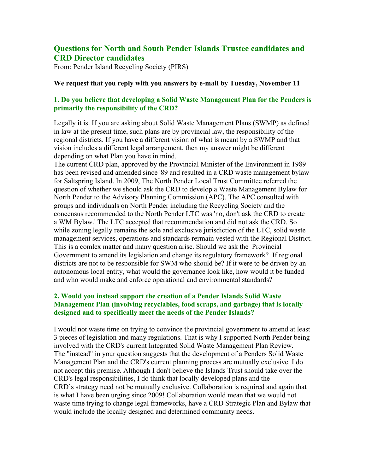# **Questions for North and South Pender Islands Trustee candidates and CRD Director candidates**

From: Pender Island Recycling Society (PIRS)

#### **We request that you reply with you answers by e-mail by Tuesday, November 11**

## **1. Do you believe that developing a Solid Waste Management Plan for the Penders is primarily the responsibility of the CRD?**

Legally it is. If you are asking about Solid Waste Management Plans (SWMP) as defined in law at the present time, such plans are by provincial law, the responsibility of the regional districts. If you have a different vision of what is meant by a SWMP and that vision includes a different legal arrangement, then my answer might be different depending on what Plan you have in mind.

The current CRD plan, approved by the Provincial Minister of the Environment in 1989 has been revised and amended since '89 and resulted in a CRD waste management bylaw for Saltspring Island. In 2009, The North Pender Local Trust Committee referred the question of whether we should ask the CRD to develop a Waste Management Bylaw for North Pender to the Advisory Planning Commission (APC). The APC consulted with groups and individuals on North Pender including the Recycling Society and the concensus recommended to the North Pender LTC was 'no, don't ask the CRD to create a WM Bylaw.' The LTC accepted that recommendation and did not ask the CRD. So while zoning legally remains the sole and exclusive jurisdiction of the LTC, solid waste management services, operations and standards rermain vested with the Regional District. This is a comlex matter and many question arise. Should we ask the Provincial Government to amend its legislation and change its regulatory framework? If regional districts are not to be responsible for SWM who should be? If it were to be driven by an autonomous local entity, what would the governance look like, how would it be funded and who would make and enforce operational and environmental standards?

# **2. Would you instead support the creation of a Pender Islands Solid Waste Management Plan (involving recyclables, food scraps, and garbage) that is locally designed and to specifically meet the needs of the Pender Islands?**

I would not waste time on trying to convince the provincial government to amend at least 3 pieces of legislation and many regulations. That is why I supported North Pender being involved with the CRD's current Integrated Solid Waste Management Plan Review. The "instead" in your question suggests that the development of a Penders Solid Waste Management Plan and the CRD's current planning process are mutually exclusive. I do not accept this premise. Although I don't believe the Islands Trust should take over the CRD's legal responsibilities, I do think that locally developed plans and the CRD's strategy need not be mutually exclusive. Collaboration is required and again that is what I have been urging since 2009! Collaboration would mean that we would not waste time trying to change legal frameworks, have a CRD Strategic Plan and Bylaw that would include the locally designed and determined community needs.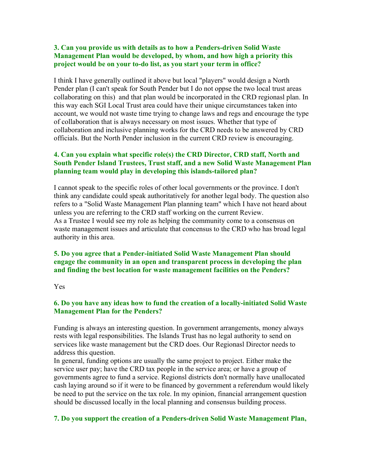## **3. Can you provide us with details as to how a Penders-driven Solid Waste Management Plan would be developed, by whom, and how high a priority this project would be on your to-do list, as you start your term in office?**

I think I have generally outlined it above but local "players" would design a North Pender plan (I can't speak for South Pender but I do not oppse the two local trust areas collaborating on this) and that plan would be incorporated in the CRD regionasl plan. In this way each SGI Local Trust area could have their unique circumstances taken into account, we would not waste time trying to change laws and regs and encourage the type of collaboration that is always necessary on most issues. Whether that type of collaboration and inclusive planning works for the CRD needs to be answered by CRD officials. But the North Pender inclusion in the current CRD review is encouraging.

## **4. Can you explain what specific role(s) the CRD Director, CRD staff, North and South Pender Island Trustees, Trust staff, and a new Solid Waste Management Plan planning team would play in developing this islands-tailored plan?**

I cannot speak to the specific roles of other local governments or the province. I don't think any candidate could speak authoritatively for another legal body. The question also refers to a "Solid Waste Management Plan planning team" which I have not heard about unless you are referring to the CRD staff working on the current Review. As a Trustee I would see my role as helping the community come to a consensus on waste management issues and articulate that concensus to the CRD who has broad legal authority in this area.

## **5. Do you agree that a Pender-initiated Solid Waste Management Plan should engage the community in an open and transparent process in developing the plan and finding the best location for waste management facilities on the Penders?**

#### Yes

#### **6. Do you have any ideas how to fund the creation of a locally-initiated Solid Waste Management Plan for the Penders?**

Funding is always an interesting question. In government arrangements, money always rests with legal responsibilities. The Islands Trust has no legal authority to send on services like waste management but the CRD does. Our Regionasl Director needs to address this question.

In general, funding options are usually the same project to project. Either make the service user pay; have the CRD tax people in the service area; or have a group of governments agree to fund a service. Regionsl districts don't normally have unallocated cash laying around so if it were to be financed by government a referendum would likely be need to put the service on the tax role. In my opinion, financial arrangement question should be discussed locally in the local planning and consensus building process.

#### **7. Do you support the creation of a Penders-driven Solid Waste Management Plan,**